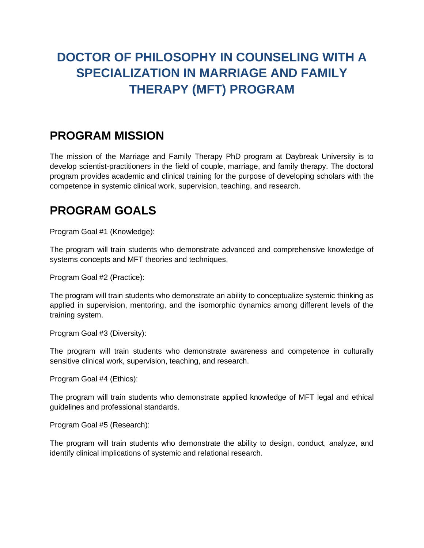# **DOCTOR OF PHILOSOPHY IN COUNSELING WITH A SPECIALIZATION IN MARRIAGE AND FAMILY THERAPY (MFT) PROGRAM**

#### **PROGRAM MISSION**

The mission of the Marriage and Family Therapy PhD program at Daybreak University is to develop scientist-practitioners in the field of couple, marriage, and family therapy. The doctoral program provides academic and clinical training for the purpose of developing scholars with the competence in systemic clinical work, supervision, teaching, and research.

#### **PROGRAM GOALS**

Program Goal #1 (Knowledge):

The program will train students who demonstrate advanced and comprehensive knowledge of systems concepts and MFT theories and techniques.

Program Goal #2 (Practice):

The program will train students who demonstrate an ability to conceptualize systemic thinking as applied in supervision, mentoring, and the isomorphic dynamics among different levels of the training system.

Program Goal #3 (Diversity):

The program will train students who demonstrate awareness and competence in culturally sensitive clinical work, supervision, teaching, and research.

Program Goal #4 (Ethics):

The program will train students who demonstrate applied knowledge of MFT legal and ethical guidelines and professional standards.

Program Goal #5 (Research):

The program will train students who demonstrate the ability to design, conduct, analyze, and identify clinical implications of systemic and relational research.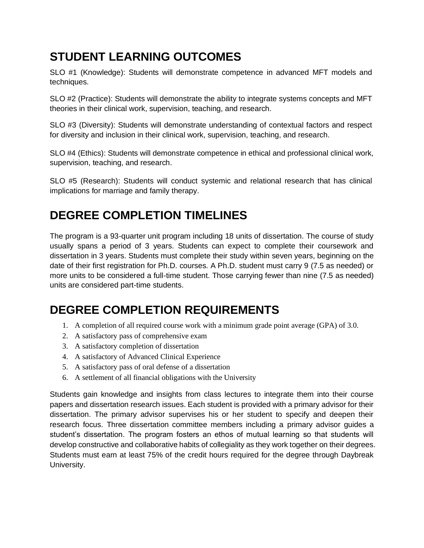### **STUDENT LEARNING OUTCOMES**

SLO #1 (Knowledge): Students will demonstrate competence in advanced MFT models and techniques.

SLO #2 (Practice): Students will demonstrate the ability to integrate systems concepts and MFT theories in their clinical work, supervision, teaching, and research.

SLO #3 (Diversity): Students will demonstrate understanding of contextual factors and respect for diversity and inclusion in their clinical work, supervision, teaching, and research.

SLO #4 (Ethics): Students will demonstrate competence in ethical and professional clinical work, supervision, teaching, and research.

SLO #5 (Research): Students will conduct systemic and relational research that has clinical implications for marriage and family therapy.

# **DEGREE COMPLETION TIMELINES**

The program is a 93-quarter unit program including 18 units of dissertation. The course of study usually spans a period of 3 years. Students can expect to complete their coursework and dissertation in 3 years. Students must complete their study within seven years, beginning on the date of their first registration for Ph.D. courses. A Ph.D. student must carry 9 (7.5 as needed) or more units to be considered a full-time student. Those carrying fewer than nine (7.5 as needed) units are considered part-time students.

# **DEGREE COMPLETION REQUIREMENTS**

- 1. A completion of all required course work with a minimum grade point average (GPA) of 3.0.
- 2. A satisfactory pass of comprehensive exam
- 3. A satisfactory completion of dissertation
- 4. A satisfactory of Advanced Clinical Experience
- 5. A satisfactory pass of oral defense of a dissertation
- 6. A settlement of all financial obligations with the University

Students gain knowledge and insights from class lectures to integrate them into their course papers and dissertation research issues. Each student is provided with a primary advisor for their dissertation. The primary advisor supervises his or her student to specify and deepen their research focus. Three dissertation committee members including a primary advisor guides a student's dissertation. The program fosters an ethos of mutual learning so that students will develop constructive and collaborative habits of collegiality as they work together on their degrees. Students must earn at least 75% of the credit hours required for the degree through Daybreak University.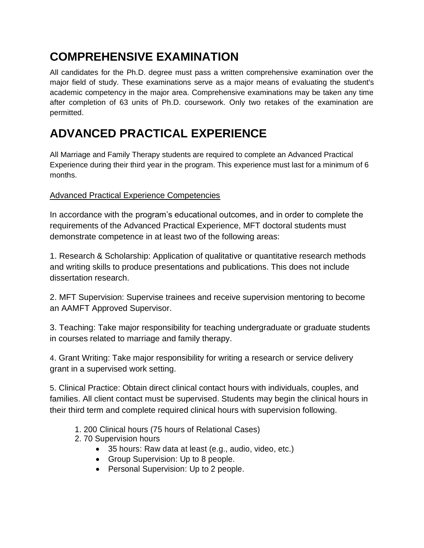# **COMPREHENSIVE EXAMINATION**

All candidates for the Ph.D. degree must pass a written comprehensive examination over the major field of study. These examinations serve as a major means of evaluating the student's academic competency in the major area. Comprehensive examinations may be taken any time after completion of 63 units of Ph.D. coursework. Only two retakes of the examination are permitted.

# **ADVANCED PRACTICAL EXPERIENCE**

All Marriage and Family Therapy students are required to complete an Advanced Practical Experience during their third year in the program. This experience must last for a minimum of 6 months.

#### Advanced Practical Experience Competencies

In accordance with the program's educational outcomes, and in order to complete the requirements of the Advanced Practical Experience, MFT doctoral students must demonstrate competence in at least two of the following areas:

1. Research & Scholarship: Application of qualitative or quantitative research methods and writing skills to produce presentations and publications. This does not include dissertation research.

2. MFT Supervision: Supervise trainees and receive supervision mentoring to become an AAMFT Approved Supervisor.

3. Teaching: Take major responsibility for teaching undergraduate or graduate students in courses related to marriage and family therapy.

4. Grant Writing: Take major responsibility for writing a research or service delivery grant in a supervised work setting.

5. Clinical Practice: Obtain direct clinical contact hours with individuals, couples, and families. All client contact must be supervised. Students may begin the clinical hours in their third term and complete required clinical hours with supervision following.

- 1. 200 Clinical hours (75 hours of Relational Cases)
- 2. 70 Supervision hours
	- 35 hours: Raw data at least (e.g., audio, video, etc.)
	- Group Supervision: Up to 8 people.
	- Personal Supervision: Up to 2 people.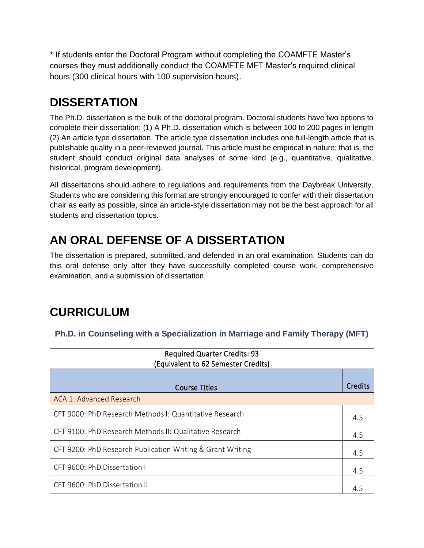\* If students enter the Doctoral Program without completing the COAMFTE Master's courses they must additionally conduct the COAMFTE MFT Master's required clinical hours (300 clinical hours with 100 supervision hours).

#### **DISSERTATION**

The Ph.D. dissertation is the bulk of the doctoral program. Doctoral students have two options to complete their dissertation: (1) A Ph.D. dissertation which is between 100 to 200 pages in length (2) An article type dissertation. The article type dissertation includes one full-length article that is publishable quality in a peer-reviewed journal. This article must be empirical in nature; that is, the student should conduct original data analyses of some kind (e.g., quantitative, qualitative, historical, program development).

All dissertations should adhere to regulations and requirements from the Daybreak University. Students who are considering this format are strongly encouraged to confer with their dissertation chair as early as possible, since an article-style dissertation may not be the best approach for all students and dissertation topics.

# **AN ORAL DEFENSE OF A DISSERTATION**

The dissertation is prepared, submitted, and defended in an oral examination. Students can do this oral defense only after they have successfully completed course work, comprehensive examination, and a submission of dissertation.

#### **CURRICULUM**

| <b>Required Quarter Credits: 93</b><br>(Equivalent to 62 Semester Credits) |         |
|----------------------------------------------------------------------------|---------|
|                                                                            |         |
| <b>Course Titles</b>                                                       | Credits |
| ACA 1: Advanced Research                                                   |         |
| CFT 9000: PhD Research Methods I: Quantitative Research                    | 4.5     |
| CFT 9100: PhD Research Methods II: Qualitative Research                    | 4.5     |
| CFT 9200: PhD Research Publication Writing & Grant Writing                 | 4.5     |
| CFT 9600: PhD Dissertation I                                               | 4.5     |
| CFT 9600: PhD Dissertation II                                              | 4.5     |

**Ph.D. in Counseling with a Specialization in Marriage and Family Therapy (MFT)**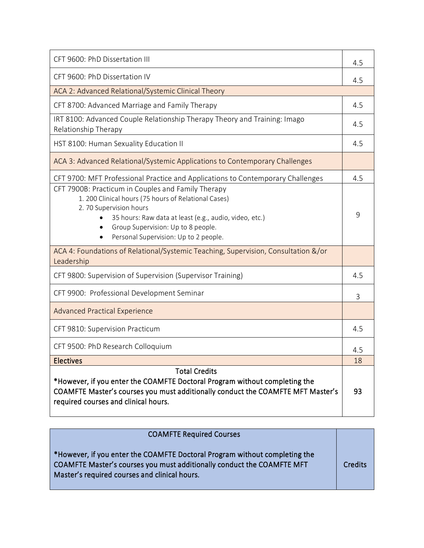| CFT 9600: PhD Dissertation III                                                                                                                                                                                                                                                             |     |  |
|--------------------------------------------------------------------------------------------------------------------------------------------------------------------------------------------------------------------------------------------------------------------------------------------|-----|--|
| CFT 9600: PhD Dissertation IV                                                                                                                                                                                                                                                              |     |  |
| ACA 2: Advanced Relational/Systemic Clinical Theory                                                                                                                                                                                                                                        |     |  |
| CFT 8700: Advanced Marriage and Family Therapy                                                                                                                                                                                                                                             | 4.5 |  |
| IRT 8100: Advanced Couple Relationship Therapy Theory and Training: Imago<br>Relationship Therapy                                                                                                                                                                                          | 4.5 |  |
| HST 8100: Human Sexuality Education II                                                                                                                                                                                                                                                     | 4.5 |  |
| ACA 3: Advanced Relational/Systemic Applications to Contemporary Challenges                                                                                                                                                                                                                |     |  |
| CFT 9700: MFT Professional Practice and Applications to Contemporary Challenges                                                                                                                                                                                                            | 4.5 |  |
| CFT 7900B: Practicum in Couples and Family Therapy<br>1. 200 Clinical hours (75 hours of Relational Cases)<br>2.70 Supervision hours<br>35 hours: Raw data at least (e.g., audio, video, etc.)<br>Group Supervision: Up to 8 people.<br>$\bullet$<br>Personal Supervision: Up to 2 people. | 9   |  |
| ACA 4: Foundations of Relational/Systemic Teaching, Supervision, Consultation &/or<br>Leadership                                                                                                                                                                                           |     |  |
| CFT 9800: Supervision of Supervision (Supervisor Training)                                                                                                                                                                                                                                 | 4.5 |  |
| CFT 9900: Professional Development Seminar                                                                                                                                                                                                                                                 | 3   |  |
| <b>Advanced Practical Experience</b>                                                                                                                                                                                                                                                       |     |  |
| CFT 9810: Supervision Practicum                                                                                                                                                                                                                                                            | 4.5 |  |
| CFT 9500: PhD Research Colloquium                                                                                                                                                                                                                                                          | 4.5 |  |
| <b>Electives</b>                                                                                                                                                                                                                                                                           | 18  |  |
| <b>Total Credits</b><br>*However, if you enter the COAMFTE Doctoral Program without completing the<br>COAMFTE Master's courses you must additionally conduct the COAMFTE MFT Master's<br>required courses and clinical hours.                                                              |     |  |

| <b>COAMFTE Required Courses</b>                                                                                                                                                                       |         |
|-------------------------------------------------------------------------------------------------------------------------------------------------------------------------------------------------------|---------|
| *However, if you enter the COAMFTE Doctoral Program without completing the<br>COAMFTE Master's courses you must additionally conduct the COAMFTE MFT<br>Master's required courses and clinical hours. | Credits |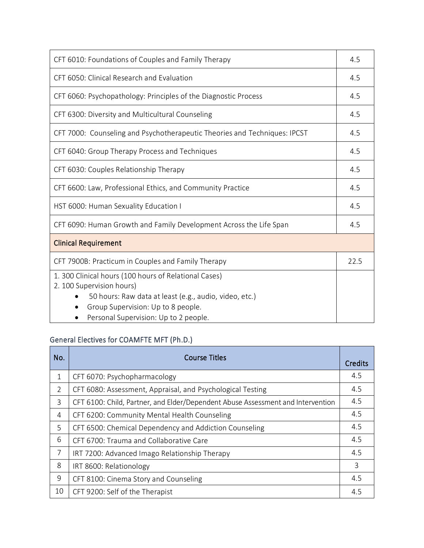| CFT 6010: Foundations of Couples and Family Therapy                                                                                                                                                                         |      |
|-----------------------------------------------------------------------------------------------------------------------------------------------------------------------------------------------------------------------------|------|
| CFT 6050: Clinical Research and Evaluation                                                                                                                                                                                  | 4.5  |
| CFT 6060: Psychopathology: Principles of the Diagnostic Process                                                                                                                                                             | 4.5  |
| CFT 6300: Diversity and Multicultural Counseling                                                                                                                                                                            | 4.5  |
| CFT 7000: Counseling and Psychotherapeutic Theories and Techniques: IPCST                                                                                                                                                   | 4.5  |
| CFT 6040: Group Therapy Process and Techniques                                                                                                                                                                              | 4.5  |
| CFT 6030: Couples Relationship Therapy                                                                                                                                                                                      | 4.5  |
| CFT 6600: Law, Professional Ethics, and Community Practice                                                                                                                                                                  | 4.5  |
| HST 6000: Human Sexuality Education I                                                                                                                                                                                       | 4.5  |
| CFT 6090: Human Growth and Family Development Across the Life Span                                                                                                                                                          |      |
| <b>Clinical Requirement</b>                                                                                                                                                                                                 |      |
| CFT 7900B: Practicum in Couples and Family Therapy                                                                                                                                                                          | 22.5 |
| 1. 300 Clinical hours (100 hours of Relational Cases)<br>2. 100 Supervision hours)<br>50 hours: Raw data at least (e.g., audio, video, etc.)<br>Group Supervision: Up to 8 people.<br>Personal Supervision: Up to 2 people. |      |

#### General Electives for COAMFTE MFT (Ph.D.)

| No. | <b>Course Titles</b>                                                            |     |  |  |
|-----|---------------------------------------------------------------------------------|-----|--|--|
| 1   | CFT 6070: Psychopharmacology                                                    | 4.5 |  |  |
| 2   | CFT 6080: Assessment, Appraisal, and Psychological Testing                      | 4.5 |  |  |
| 3   | CFT 6100: Child, Partner, and Elder/Dependent Abuse Assessment and Intervention | 4.5 |  |  |
| 4   | CFT 6200: Community Mental Health Counseling                                    | 4.5 |  |  |
| 5   | CFT 6500: Chemical Dependency and Addiction Counseling                          | 4.5 |  |  |
| 6   | CFT 6700: Trauma and Collaborative Care                                         | 4.5 |  |  |
| 7   | IRT 7200: Advanced Imago Relationship Therapy                                   | 4.5 |  |  |
| 8   | IRT 8600: Relationology                                                         | 3   |  |  |
| 9   | CFT 8100: Cinema Story and Counseling                                           | 4.5 |  |  |
| 10  | CFT 9200: Self of the Therapist                                                 | 4.5 |  |  |